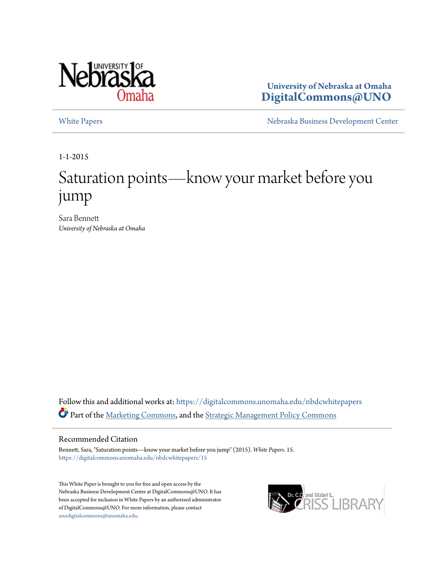

**University of Nebraska at Omaha [DigitalCommons@UNO](https://digitalcommons.unomaha.edu?utm_source=digitalcommons.unomaha.edu%2Fnbdcwhitepapers%2F15&utm_medium=PDF&utm_campaign=PDFCoverPages)**

[White Papers](https://digitalcommons.unomaha.edu/nbdcwhitepapers?utm_source=digitalcommons.unomaha.edu%2Fnbdcwhitepapers%2F15&utm_medium=PDF&utm_campaign=PDFCoverPages) **[Nebraska Business Development Center](https://digitalcommons.unomaha.edu/nbdc?utm_source=digitalcommons.unomaha.edu%2Fnbdcwhitepapers%2F15&utm_medium=PDF&utm_campaign=PDFCoverPages)** 

1-1-2015

# Saturation points—know your market before you jump

Sara Bennett *University of Nebraska at Omaha*

Follow this and additional works at: [https://digitalcommons.unomaha.edu/nbdcwhitepapers](https://digitalcommons.unomaha.edu/nbdcwhitepapers?utm_source=digitalcommons.unomaha.edu%2Fnbdcwhitepapers%2F15&utm_medium=PDF&utm_campaign=PDFCoverPages) Part of the [Marketing Commons,](http://network.bepress.com/hgg/discipline/638?utm_source=digitalcommons.unomaha.edu%2Fnbdcwhitepapers%2F15&utm_medium=PDF&utm_campaign=PDFCoverPages) and the [Strategic Management Policy Commons](http://network.bepress.com/hgg/discipline/642?utm_source=digitalcommons.unomaha.edu%2Fnbdcwhitepapers%2F15&utm_medium=PDF&utm_campaign=PDFCoverPages)

#### Recommended Citation

Bennett, Sara, "Saturation points—know your market before you jump" (2015). *White Papers*. 15. [https://digitalcommons.unomaha.edu/nbdcwhitepapers/15](https://digitalcommons.unomaha.edu/nbdcwhitepapers/15?utm_source=digitalcommons.unomaha.edu%2Fnbdcwhitepapers%2F15&utm_medium=PDF&utm_campaign=PDFCoverPages)

This White Paper is brought to you for free and open access by the Nebraska Business Development Center at DigitalCommons@UNO. It has been accepted for inclusion in White Papers by an authorized administrator of DigitalCommons@UNO. For more information, please contact [unodigitalcommons@unomaha.edu](mailto:unodigitalcommons@unomaha.edu).

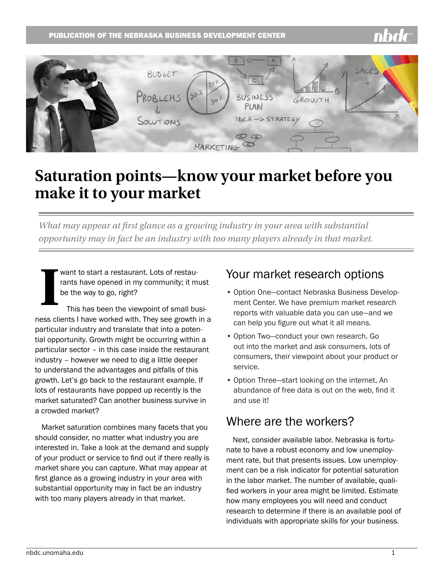#### PUBLICATION OF THE NEBRASKA BUSINESS DEVELOPMENT CENTER



## **Saturation points—know your market before you make it to your market**

*What may appear at first glance as a growing industry in your area with substantial opportunity may in fact be an industry with too many players already in that market.* 

want to start a restaurant. Lots of restaurants have opened in my community; it must be the way to go, right?

**I** This has been the viewpoint of small business clients I have worked with. They see growth in a particular industry and translate that into a potential opportunity. Growth might be occurring within a particular sector – in this case inside the restaurant industry – however we need to dig a little deeper to understand the advantages and pitfalls of this growth. Let's go back to the restaurant example. If lots of restaurants have popped up recently is the market saturated? Can another business survive in a crowded market?

Market saturation combines many facets that you should consider, no matter what industry you are interested in. Take a look at the demand and supply of your product or service to find out if there really is market share you can capture. What may appear at first glance as a growing industry in your area with substantial opportunity may in fact be an industry with too many players already in that market.

#### Your market research options

- Option One—contact Nebraska Business Development Center. We have premium market research reports with valuable data you can use—and we can help you figure out what it all means.
- Option Two—conduct your own research. Go out into the market and ask consumers, lots of consumers, their viewpoint about your product or service.
- Option Three—start looking on the internet. An abundance of free data is out on the web, find it and use it!

#### Where are the workers?

Next, consider available labor. Nebraska is fortunate to have a robust economy and low unemployment rate, but that presents issues. Low unemployment can be a risk indicator for potential saturation in the labor market. The number of available, qualified workers in your area might be limited. Estimate how many employees you will need and conduct research to determine if there is an available pool of individuals with appropriate skills for your business.